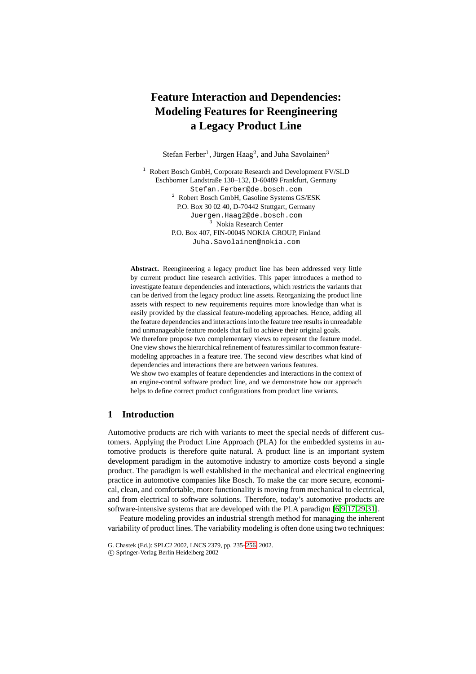# **Feature Interaction and Dependencies: Modeling Features for Reengineering a Legacy Product Line**

Stefan Ferber<sup>1</sup>, Jürgen Haag<sup>2</sup>, and Juha Savolainen<sup>3</sup>

<sup>1</sup> Robert Bosch GmbH, Corporate Research and Development FV/SLD Eschborner Landstraße 130–132, D-60489 Frankfurt, Germany Stefan.Ferber@de.bosch.com <sup>2</sup> Robert Bosch GmbH, Gasoline Systems GS/ESK P.O. Box 30 02 40, D-70442 Stuttgart, Germany Juergen.Haag2@de.bosch.com <sup>3</sup> Nokia Research Center P.O. Box 407, FIN-00045 NOKIA GROUP, Finland Juha.Savolainen@nokia.com

**Abstract.** Reengineering a legacy product line has been addressed very little by current product line research activities. This paper introduces a method to investigate feature dependencies and interactions, which restricts the variants that can be derived from the legacy product line assets. Reorganizing the product line assets with respect to new requirements requires more knowledge than what is easily provided by the classical feature-modeling approaches. Hence, adding all the feature dependencies and interactions into the feature tree results in unreadable and unmanageable feature models that fail to achieve their original goals. We therefore propose two complementary views to represent the feature model.

One view shows the hierarchical refinement of features similar to common featuremodeling approaches in a feature tree. The second view describes what kind of dependencies and interactions there are between various features.

We show two examples of feature dependencies and interactions in the context of an engine-control software product line, and we demonstrate how our approach helps to define correct product configurations from product line variants.

# **1 Introduction**

Automotive products are rich with variants to meet the special needs of different customers. Applying the Product Line Approach (PLA) for the embedded systems in automotive products is therefore quite natural. A product line is an important system development paradigm in the automotive industry to amortize costs beyond a single product. The paradigm is well established in the mechanical and electrical engineering practice in automotive companies like Bosch. To make the car more secure, economical, clean, and comfortable, more functionality is moving from mechanical to electrical, and from electrical to software solutions. Therefore, today's automotive products are software-intensive systems that are developed with the PLA paradigm [\[6,9,](#page-19-0)[17,29,](#page-20-0)[31\]](#page-21-0).

Feature modeling provides an industrial strength method for managing the inherent variability of product lines. The variability modeling is often done using two techniques: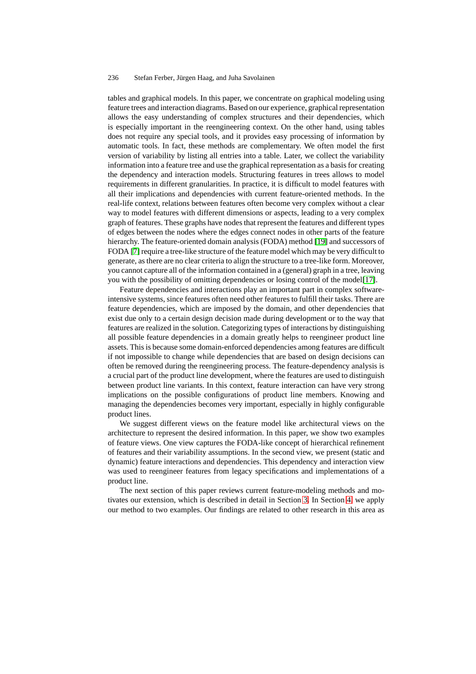tables and graphical models. In this paper, we concentrate on graphical modeling using feature trees and interaction diagrams. Based on our experience, graphical representation allows the easy understanding of complex structures and their dependencies, which is especially important in the reengineering context. On the other hand, using tables does not require any special tools, and it provides easy processing of information by automatic tools. In fact, these methods are complementary. We often model the first version of variability by listing all entries into a table. Later, we collect the variability information into a feature tree and use the graphical representation as a basis for creating the dependency and interaction models. Structuring features in trees allows to model requirements in different granularities. In practice, it is difficult to model features with all their implications and dependencies with current feature-oriented methods. In the real-life context, relations between features often become very complex without a clear way to model features with different dimensions or aspects, leading to a very complex graph of features. These graphs have nodes that represent the features and different types of edges between the nodes where the edges connect nodes in other parts of the feature hierarchy. The feature-oriented domain analysis (FODA) method [\[19\]](#page-20-0) and successors of FODA [\[7\]](#page-19-0) require a tree-like structure of the feature model which may be very difficult to generate, as there are no clear criteria to align the structure to a tree-like form. Moreover, you cannot capture all of the information contained in a (general) graph in a tree, leaving you with the possibility of omitting dependencies or losing control of the model[\[17\]](#page-20-0).

Feature dependencies and interactions play an important part in complex softwareintensive systems, since features often need other features to fulfill their tasks. There are feature dependencies, which are imposed by the domain, and other dependencies that exist due only to a certain design decision made during development or to the way that features are realized in the solution. Categorizing types of interactions by distinguishing all possible feature dependencies in a domain greatly helps to reengineer product line assets. This is because some domain-enforced dependencies among features are difficult if not impossible to change while dependencies that are based on design decisions can often be removed during the reengineering process. The feature-dependency analysis is a crucial part of the product line development, where the features are used to distinguish between product line variants. In this context, feature interaction can have very strong implications on the possible configurations of product line members. Knowing and managing the dependencies becomes very important, especially in highly configurable product lines.

We suggest different views on the feature model like architectural views on the architecture to represent the desired information. In this paper, we show two examples of feature views. One view captures the FODA-like concept of hierarchical refinement of features and their variability assumptions. In the second view, we present (static and dynamic) feature interactions and dependencies. This dependency and interaction view was used to reengineer features from legacy specifications and implementations of a product line.

The next section of this paper reviews current feature-modeling methods and motivates our extension, which is described in detail in Section [3.](#page-3-0) In Section [4,](#page-8-0) we apply our method to two examples. Our findings are related to other research in this area as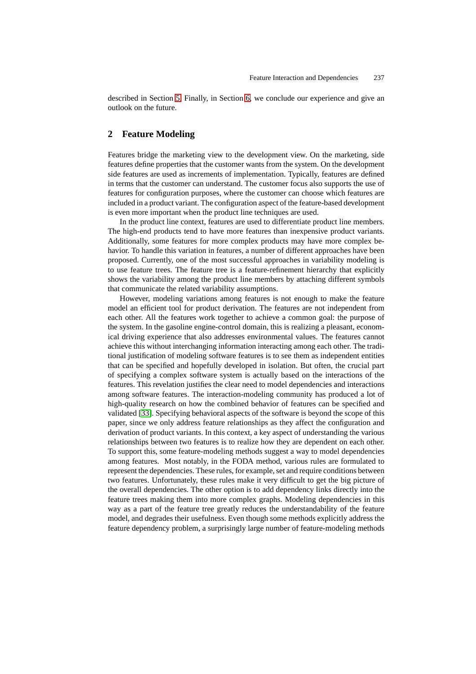described in Section [5.](#page-15-0) Finally, in Section [6,](#page-18-0) we conclude our experience and give an outlook on the future.

### **2 Feature Modeling**

Features bridge the marketing view to the development view. On the marketing, side features define properties that the customer wants from the system. On the development side features are used as increments of implementation. Typically, features are defined in terms that the customer can understand. The customer focus also supports the use of features for configuration purposes, where the customer can choose which features are included in a product variant. The configuration aspect of the feature-based development is even more important when the product line techniques are used.

In the product line context, features are used to differentiate product line members. The high-end products tend to have more features than inexpensive product variants. Additionally, some features for more complex products may have more complex behavior. To handle this variation in features, a number of different approaches have been proposed. Currently, one of the most successful approaches in variability modeling is to use feature trees. The feature tree is a feature-refinement hierarchy that explicitly shows the variability among the product line members by attaching different symbols that communicate the related variability assumptions.

However, modeling variations among features is not enough to make the feature model an efficient tool for product derivation. The features are not independent from each other. All the features work together to achieve a common goal: the purpose of the system. In the gasoline engine-control domain, this is realizing a pleasant, economical driving experience that also addresses environmental values. The features cannot achieve this without interchanging information interacting among each other. The traditional justification of modeling software features is to see them as independent entities that can be specified and hopefully developed in isolation. But often, the crucial part of specifying a complex software system is actually based on the interactions of the features. This revelation justifies the clear need to model dependencies and interactions among software features. The interaction-modeling community has produced a lot of high-quality research on how the combined behavior of features can be specified and validated [\[33\]](#page-21-0). Specifying behavioral aspects of the software is beyond the scope of this paper, since we only address feature relationships as they affect the configuration and derivation of product variants. In this context, a key aspect of understanding the various relationships between two features is to realize how they are dependent on each other. To support this, some feature-modeling methods suggest a way to model dependencies among features. Most notably, in the FODA method, various rules are formulated to represent the dependencies. These rules, for example, set and require conditions between two features. Unfortunately, these rules make it very difficult to get the big picture of the overall dependencies. The other option is to add dependency links directly into the feature trees making them into more complex graphs. Modeling dependencies in this way as a part of the feature tree greatly reduces the understandability of the feature model, and degrades their usefulness. Even though some methods explicitly address the feature dependency problem, a surprisingly large number of feature-modeling methods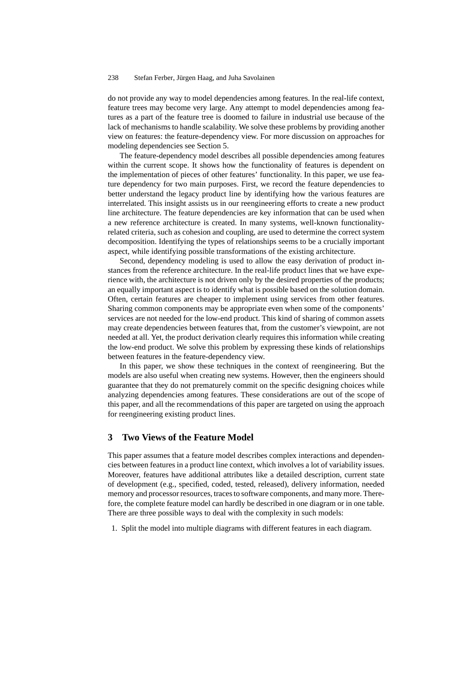<span id="page-3-0"></span>do not provide any way to model dependencies among features. In the real-life context, feature trees may become very large. Any attempt to model dependencies among features as a part of the feature tree is doomed to failure in industrial use because of the lack of mechanisms to handle scalability. We solve these problems by providing another view on features: the feature-dependency view. For more discussion on approaches for modeling dependencies see Section 5.

The feature-dependency model describes all possible dependencies among features within the current scope. It shows how the functionality of features is dependent on the implementation of pieces of other features' functionality. In this paper, we use feature dependency for two main purposes. First, we record the feature dependencies to better understand the legacy product line by identifying how the various features are interrelated. This insight assists us in our reengineering efforts to create a new product line architecture. The feature dependencies are key information that can be used when a new reference architecture is created. In many systems, well-known functionalityrelated criteria, such as cohesion and coupling, are used to determine the correct system decomposition. Identifying the types of relationships seems to be a crucially important aspect, while identifying possible transformations of the existing architecture.

Second, dependency modeling is used to allow the easy derivation of product instances from the reference architecture. In the real-life product lines that we have experience with, the architecture is not driven only by the desired properties of the products; an equally important aspect is to identify what is possible based on the solution domain. Often, certain features are cheaper to implement using services from other features. Sharing common components may be appropriate even when some of the components' services are not needed for the low-end product. This kind of sharing of common assets may create dependencies between features that, from the customer's viewpoint, are not needed at all. Yet, the product derivation clearly requires this information while creating the low-end product. We solve this problem by expressing these kinds of relationships between features in the feature-dependency view.

In this paper, we show these techniques in the context of reengineering. But the models are also useful when creating new systems. However, then the engineers should guarantee that they do not prematurely commit on the specific designing choices while analyzing dependencies among features. These considerations are out of the scope of this paper, and all the recommendations of this paper are targeted on using the approach for reengineering existing product lines.

# **3 Two Views of the Feature Model**

This paper assumes that a feature model describes complex interactions and dependencies between features in a product line context, which involves a lot of variability issues. Moreover, features have additional attributes like a detailed description, current state of development (e.g., specified, coded, tested, released), delivery information, needed memory and processor resources, traces to software components, and many more. Therefore, the complete feature model can hardly be described in one diagram or in one table. There are three possible ways to deal with the complexity in such models:

1. Split the model into multiple diagrams with different features in each diagram.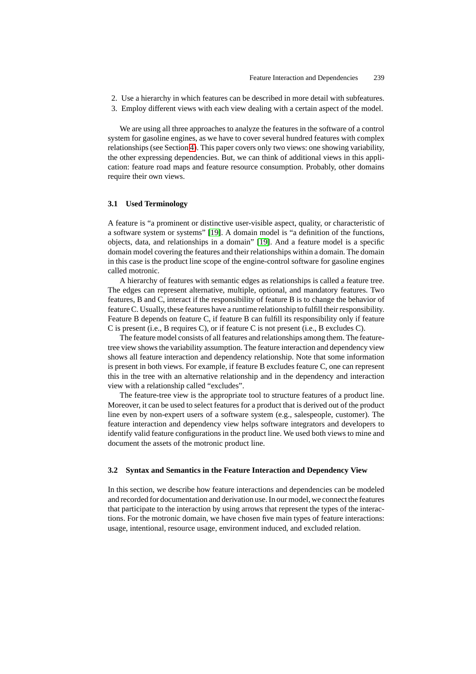- 2. Use a hierarchy in which features can be described in more detail with subfeatures.
- 3. Employ different views with each view dealing with a certain aspect of the model.

We are using all three approaches to analyze the features in the software of a control system for gasoline engines, as we have to cover several hundred features with complex relationships (see Section [4\)](#page-8-0). This paper covers only two views: one showing variability, the other expressing dependencies. But, we can think of additional views in this application: feature road maps and feature resource consumption. Probably, other domains require their own views.

#### **3.1 Used Terminology**

A feature is "a prominent or distinctive user-visible aspect, quality, or characteristic of a software system or systems" [\[19\]](#page-20-0). A domain model is "a definition of the functions, objects, data, and relationships in a domain" [\[19\]](#page-20-0). And a feature model is a specific domain model covering the features and their relationships within a domain. The domain in this case is the product line scope of the engine-control software for gasoline engines called motronic.

A hierarchy of features with semantic edges as relationships is called a feature tree. The edges can represent alternative, multiple, optional, and mandatory features. Two features, B and C, interact if the responsibility of feature B is to change the behavior of feature C. Usually, these features have a runtime relationship to fulfill their responsibility. Feature B depends on feature C, if feature B can fulfill its responsibility only if feature C is present (i.e., B requires C), or if feature C is not present (i.e., B excludes C).

The feature model consists of all features and relationships among them. The featuretree view shows the variability assumption. The feature interaction and dependency view shows all feature interaction and dependency relationship. Note that some information is present in both views. For example, if feature B excludes feature C, one can represent this in the tree with an alternative relationship and in the dependency and interaction view with a relationship called "excludes".

The feature-tree view is the appropriate tool to structure features of a product line. Moreover, it can be used to select features for a product that is derived out of the product line even by non-expert users of a software system (e.g., salespeople, customer). The feature interaction and dependency view helps software integrators and developers to identify valid feature configurations in the product line. We used both views to mine and document the assets of the motronic product line.

#### **3.2 Syntax and Semantics in the Feature Interaction and Dependency View**

In this section, we describe how feature interactions and dependencies can be modeled and recorded for documentation and derivation use. In our model, we connect the features that participate to the interaction by using arrows that represent the types of the interactions. For the motronic domain, we have chosen five main types of feature interactions: usage, intentional, resource usage, environment induced, and excluded relation.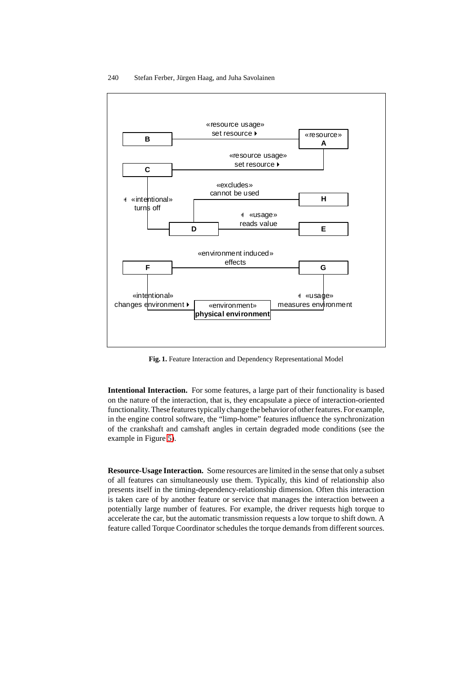

**Fig. 1.** Feature Interaction and Dependency Representational Model

**Intentional Interaction.** For some features, a large part of their functionality is based on the nature of the interaction, that is, they encapsulate a piece of interaction-oriented functionality. These features typically change the behavior of other features. For example, in the engine control software, the "limp-home" features influence the synchronization of the crankshaft and camshaft angles in certain degraded mode conditions (see the example in Figure [5\)](#page-10-0).

**Resource-Usage Interaction.** Some resources are limited in the sense that only a subset of all features can simultaneously use them. Typically, this kind of relationship also presents itself in the timing-dependency-relationship dimension. Often this interaction is taken care of by another feature or service that manages the interaction between a potentially large number of features. For example, the driver requests high torque to accelerate the car, but the automatic transmission requests a low torque to shift down. A feature called Torque Coordinator schedules the torque demands from different sources.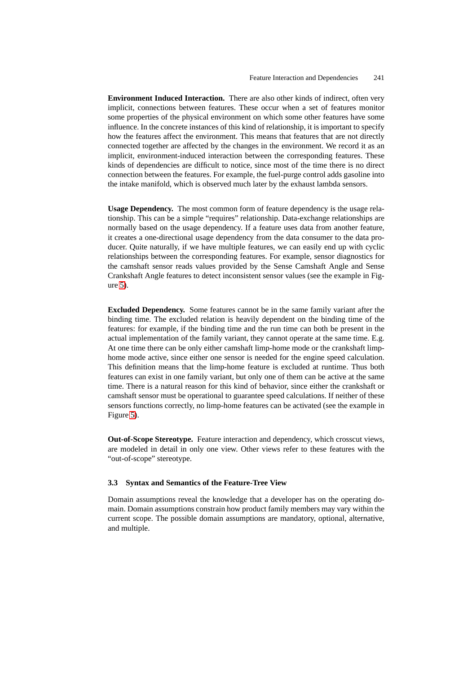**Environment Induced Interaction.** There are also other kinds of indirect, often very implicit, connections between features. These occur when a set of features monitor some properties of the physical environment on which some other features have some influence. In the concrete instances of this kind of relationship, it is important to specify how the features affect the environment. This means that features that are not directly connected together are affected by the changes in the environment. We record it as an implicit, environment-induced interaction between the corresponding features. These kinds of dependencies are difficult to notice, since most of the time there is no direct connection between the features. For example, the fuel-purge control adds gasoline into the intake manifold, which is observed much later by the exhaust lambda sensors.

**Usage Dependency.** The most common form of feature dependency is the usage relationship. This can be a simple "requires" relationship. Data-exchange relationships are normally based on the usage dependency. If a feature uses data from another feature, it creates a one-directional usage dependency from the data consumer to the data producer. Quite naturally, if we have multiple features, we can easily end up with cyclic relationships between the corresponding features. For example, sensor diagnostics for the camshaft sensor reads values provided by the Sense Camshaft Angle and Sense Crankshaft Angle features to detect inconsistent sensor values (see the example in Figure [5\)](#page-10-0).

**Excluded Dependency.** Some features cannot be in the same family variant after the binding time. The excluded relation is heavily dependent on the binding time of the features: for example, if the binding time and the run time can both be present in the actual implementation of the family variant, they cannot operate at the same time. E.g. At one time there can be only either camshaft limp-home mode or the crankshaft limphome mode active, since either one sensor is needed for the engine speed calculation. This definition means that the limp-home feature is excluded at runtime. Thus both features can exist in one family variant, but only one of them can be active at the same time. There is a natural reason for this kind of behavior, since either the crankshaft or camshaft sensor must be operational to guarantee speed calculations. If neither of these sensors functions correctly, no limp-home features can be activated (see the example in Figure [5\)](#page-10-0).

**Out-of-Scope Stereotype.** Feature interaction and dependency, which crosscut views, are modeled in detail in only one view. Other views refer to these features with the "out-of-scope" stereotype.

### **3.3 Syntax and Semantics of the Feature-Tree View**

Domain assumptions reveal the knowledge that a developer has on the operating domain. Domain assumptions constrain how product family members may vary within the current scope. The possible domain assumptions are mandatory, optional, alternative, and multiple.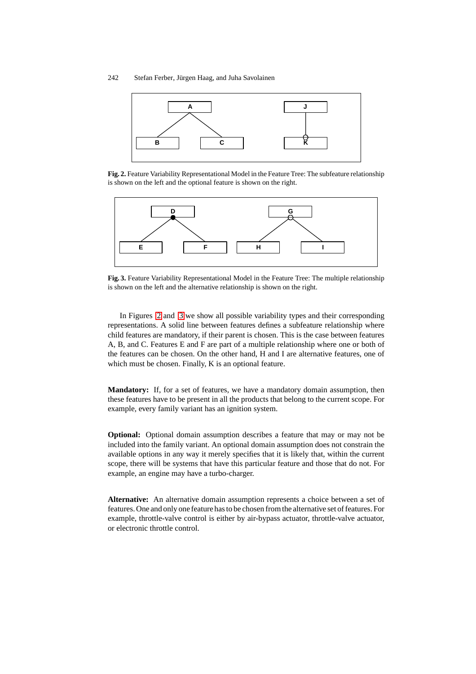

**Fig. 2.** Feature Variability Representational Model in the Feature Tree: The subfeature relationship is shown on the left and the optional feature is shown on the right.



**Fig. 3.** Feature Variability Representational Model in the Feature Tree: The multiple relationship is shown on the left and the alternative relationship is shown on the right.

In Figures 2 and 3 we show all possible variability types and their corresponding representations. A solid line between features defines a subfeature relationship where child features are mandatory, if their parent is chosen. This is the case between features A, B, and C. Features E and F are part of a multiple relationship where one or both of the features can be chosen. On the other hand, H and I are alternative features, one of which must be chosen. Finally, K is an optional feature.

**Mandatory:** If, for a set of features, we have a mandatory domain assumption, then these features have to be present in all the products that belong to the current scope. For example, every family variant has an ignition system.

**Optional:** Optional domain assumption describes a feature that may or may not be included into the family variant. An optional domain assumption does not constrain the available options in any way it merely specifies that it is likely that, within the current scope, there will be systems that have this particular feature and those that do not. For example, an engine may have a turbo-charger.

**Alternative:** An alternative domain assumption represents a choice between a set of features. One and only one feature has to be chosen from the alternative set of features. For example, throttle-valve control is either by air-bypass actuator, throttle-valve actuator, or electronic throttle control.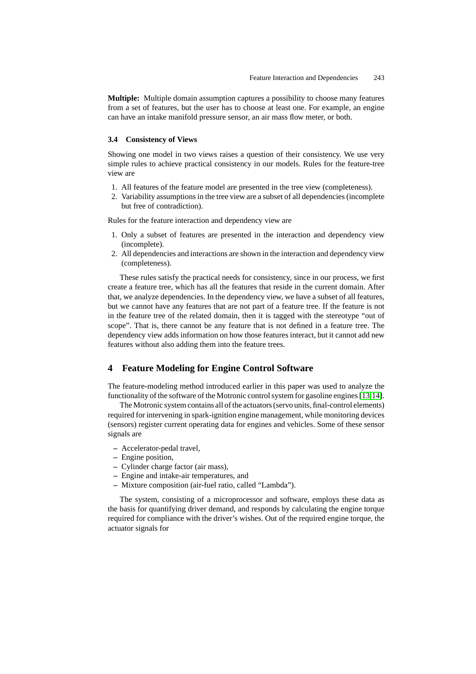<span id="page-8-0"></span>**Multiple:** Multiple domain assumption captures a possibility to choose many features from a set of features, but the user has to choose at least one. For example, an engine can have an intake manifold pressure sensor, an air mass flow meter, or both.

### **3.4 Consistency of Views**

Showing one model in two views raises a question of their consistency. We use very simple rules to achieve practical consistency in our models. Rules for the feature-tree view are

- 1. All features of the feature model are presented in the tree view (completeness).
- 2. Variability assumptions in the tree view are a subset of all dependencies (incomplete but free of contradiction).

Rules for the feature interaction and dependency view are

- 1. Only a subset of features are presented in the interaction and dependency view (incomplete).
- 2. All dependencies and interactions are shown in the interaction and dependency view (completeness).

These rules satisfy the practical needs for consistency, since in our process, we first create a feature tree, which has all the features that reside in the current domain. After that, we analyze dependencies. In the dependency view, we have a subset of all features, but we cannot have any features that are not part of a feature tree. If the feature is not in the feature tree of the related domain, then it is tagged with the stereotype "out of scope". That is, there cannot be any feature that is not defined in a feature tree. The dependency view adds information on how those features interact, but it cannot add new features without also adding them into the feature trees.

# **4 Feature Modeling for Engine Control Software**

The feature-modeling method introduced earlier in this paper was used to analyze the functionality of the software of the Motronic control system for gasoline engines [\[13,14\]](#page-19-0).

The Motronic system contains all of the actuators (servo units, final-control elements) required for intervening in spark-ignition engine management, while monitoring devices (sensors) register current operating data for engines and vehicles. Some of these sensor signals are

- **–** Accelerator-pedal travel,
- **–** Engine position,
- **–** Cylinder charge factor (air mass),
- **–** Engine and intake-air temperatures, and
- **–** Mixture composition (air-fuel ratio, called "Lambda").

The system, consisting of a microprocessor and software, employs these data as the basis for quantifying driver demand, and responds by calculating the engine torque required for compliance with the driver's wishes. Out of the required engine torque, the actuator signals for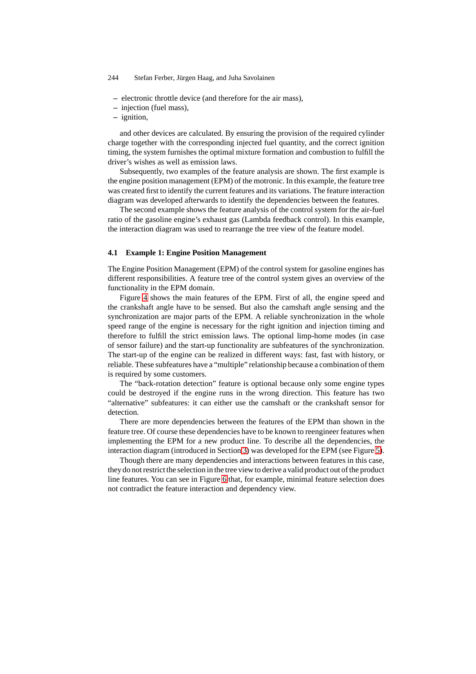- **–** electronic throttle device (and therefore for the air mass),
- **–** injection (fuel mass),
- **–** ignition,

and other devices are calculated. By ensuring the provision of the required cylinder charge together with the corresponding injected fuel quantity, and the correct ignition timing, the system furnishes the optimal mixture formation and combustion to fulfill the driver's wishes as well as emission laws.

Subsequently, two examples of the feature analysis are shown. The first example is the engine position management (EPM) of the motronic. In this example, the feature tree was created first to identify the current features and its variations. The feature interaction diagram was developed afterwards to identify the dependencies between the features.

The second example shows the feature analysis of the control system for the air-fuel ratio of the gasoline engine's exhaust gas (Lambda feedback control). In this example, the interaction diagram was used to rearrange the tree view of the feature model.

#### **4.1 Example 1: Engine Position Management**

The Engine Position Management (EPM) of the control system for gasoline engines has different responsibilities. A feature tree of the control system gives an overview of the functionality in the EPM domain.

Figure [4](#page-10-0) shows the main features of the EPM. First of all, the engine speed and the crankshaft angle have to be sensed. But also the camshaft angle sensing and the synchronization are major parts of the EPM. A reliable synchronization in the whole speed range of the engine is necessary for the right ignition and injection timing and therefore to fulfill the strict emission laws. The optional limp-home modes (in case of sensor failure) and the start-up functionality are subfeatures of the synchronization. The start-up of the engine can be realized in different ways: fast, fast with history, or reliable. These subfeatures have a "multiple" relationship because a combination of them is required by some customers.

The "back-rotation detection" feature is optional because only some engine types could be destroyed if the engine runs in the wrong direction. This feature has two "alternative" subfeatures: it can either use the camshaft or the crankshaft sensor for detection.

There are more dependencies between the features of the EPM than shown in the feature tree. Of course these dependencies have to be known to reengineer features when implementing the EPM for a new product line. To describe all the dependencies, the interaction diagram (introduced in Section [3\)](#page-3-0) was developed for the EPM (see Figure [5\)](#page-10-0).

Though there are many dependencies and interactions between features in this case, they do not restrict the selection in the tree view to derive a valid product out of the product line features. You can see in Figure [6](#page-11-0) that, for example, minimal feature selection does not contradict the feature interaction and dependency view.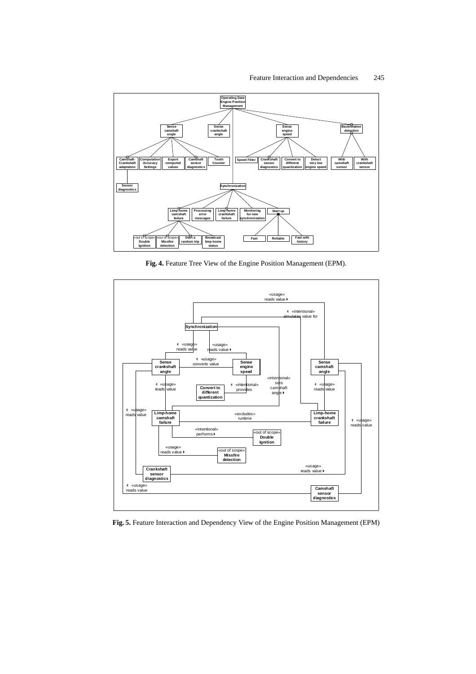<span id="page-10-0"></span>

**Fig. 4.** Feature Tree View of the Engine Position Management (EPM).



**Fig. 5.** Feature Interaction and Dependency View of the Engine Position Management (EPM)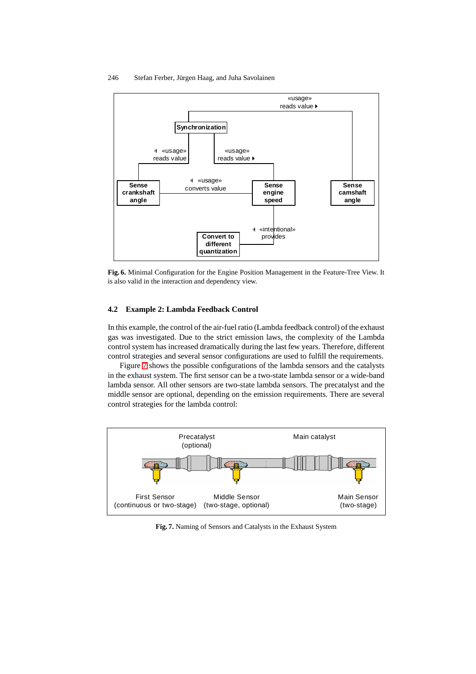<span id="page-11-0"></span>

**Fig. 6.** Minimal Configuration for the Engine Position Management in the Feature-Tree View. It is also valid in the interaction and dependency view.

### **4.2 Example 2: Lambda Feedback Control**

In this example, the control of the air-fuel ratio (Lambda feedback control) of the exhaust gas was investigated. Due to the strict emission laws, the complexity of the Lambda control system has increased dramatically during the last few years. Therefore, different control strategies and several sensor configurations are used to fulfill the requirements.

Figure 7 shows the possible configurations of the lambda sensors and the catalysts in the exhaust system. The first sensor can be a two-state lambda sensor or a wide-band lambda sensor. All other sensors are two-state lambda sensors. The precatalyst and the middle sensor are optional, depending on the emission requirements. There are several control strategies for the lambda control:



**Fig. 7.** Naming of Sensors and Catalysts in the Exhaust System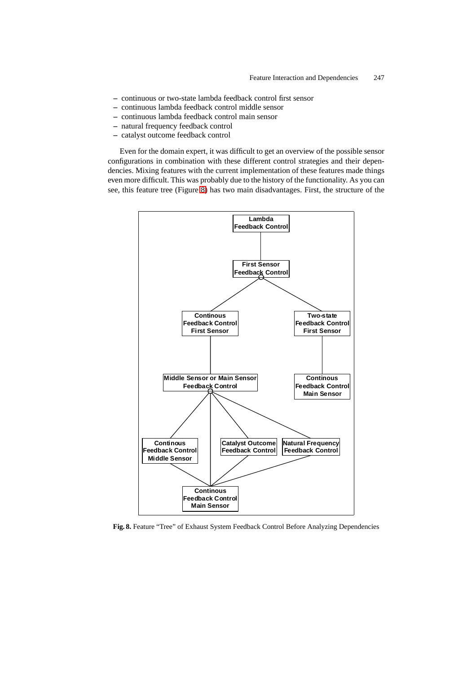- **–** continuous or two-state lambda feedback control first sensor
- **–** continuous lambda feedback control middle sensor
- **–** continuous lambda feedback control main sensor
- **–** natural frequency feedback control
- **–** catalyst outcome feedback control

Even for the domain expert, it was difficult to get an overview of the possible sensor configurations in combination with these different control strategies and their dependencies. Mixing features with the current implementation of these features made things even more difficult. This was probably due to the history of the functionality. As you can see, this feature tree (Figure 8) has two main disadvantages. First, the structure of the



**Fig. 8.** Feature "Tree" of Exhaust System Feedback Control Before Analyzing Dependencies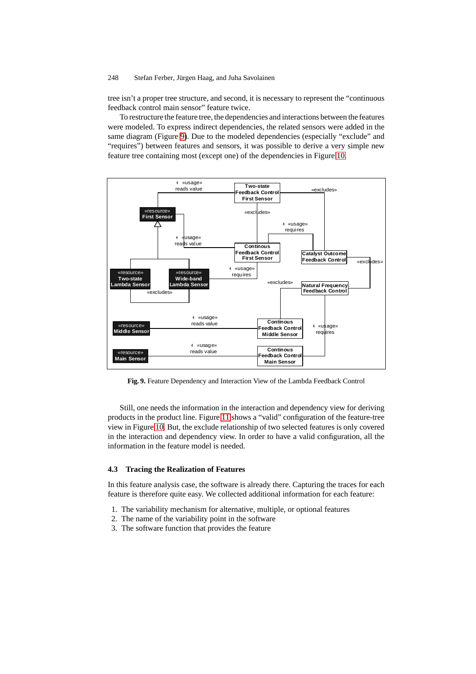tree isn't a proper tree structure, and second, it is necessary to represent the "continuous feedback control main sensor" feature twice.

To restructure the feature tree, the dependencies and interactions between the features were modeled. To express indirect dependencies, the related sensors were added in the same diagram (Figure 9). Due to the modeled dependencies (especially "exclude" and "requires") between features and sensors, it was possible to derive a very simple new feature tree containing most (except one) of the dependencies in Figure [10.](#page-14-0)



**Fig. 9.** Feature Dependency and Interaction View of the Lambda Feedback Control

Still, one needs the information in the interaction and dependency view for deriving products in the product line. Figure [11](#page-14-0) shows a "valid" configuration of the feature-tree view in Figure [10.](#page-14-0) But, the exclude relationship of two selected features is only covered in the interaction and dependency view. In order to have a valid configuration, all the information in the feature model is needed.

### **4.3 Tracing the Realization of Features**

In this feature analysis case, the software is already there. Capturing the traces for each feature is therefore quite easy. We collected additional information for each feature:

- 1. The variability mechanism for alternative, multiple, or optional features
- 2. The name of the variability point in the software
- 3. The software function that provides the feature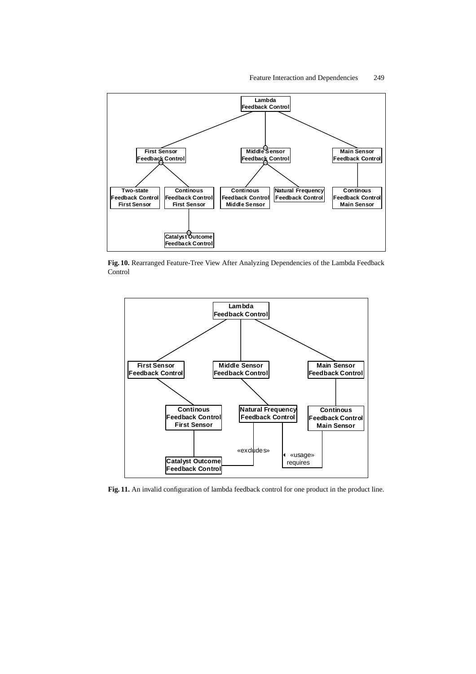<span id="page-14-0"></span>

**Fig. 10.** Rearranged Feature-Tree View After Analyzing Dependencies of the Lambda Feedback Control



**Fig. 11.** An invalid configuration of lambda feedback control for one product in the product line.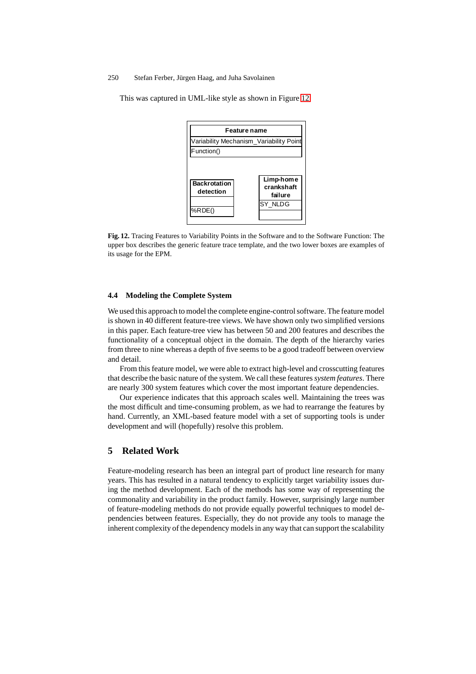<span id="page-15-0"></span>This was captured in UML-like style as shown in Figure 12.



**Fig. 12.** Tracing Features to Variability Points in the Software and to the Software Function: The upper box describes the generic feature trace template, and the two lower boxes are examples of its usage for the EPM.

#### **4.4 Modeling the Complete System**

We used this approach to model the complete engine-control software. The feature model is shown in 40 different feature-tree views. We have shown only two simplified versions in this paper. Each feature-tree view has between 50 and 200 features and describes the functionality of a conceptual object in the domain. The depth of the hierarchy varies from three to nine whereas a depth of five seems to be a good tradeoff between overview and detail.

From this feature model, we were able to extract high-level and crosscutting features that describe the basic nature of the system. We call these features*system features*. There are nearly 300 system features which cover the most important feature dependencies.

Our experience indicates that this approach scales well. Maintaining the trees was the most difficult and time-consuming problem, as we had to rearrange the features by hand. Currently, an XML-based feature model with a set of supporting tools is under development and will (hopefully) resolve this problem.

### **5 Related Work**

Feature-modeling research has been an integral part of product line research for many years. This has resulted in a natural tendency to explicitly target variability issues during the method development. Each of the methods has some way of representing the commonality and variability in the product family. However, surprisingly large number of feature-modeling methods do not provide equally powerful techniques to model dependencies between features. Especially, they do not provide any tools to manage the inherent complexity of the dependency models in any way that can support the scalability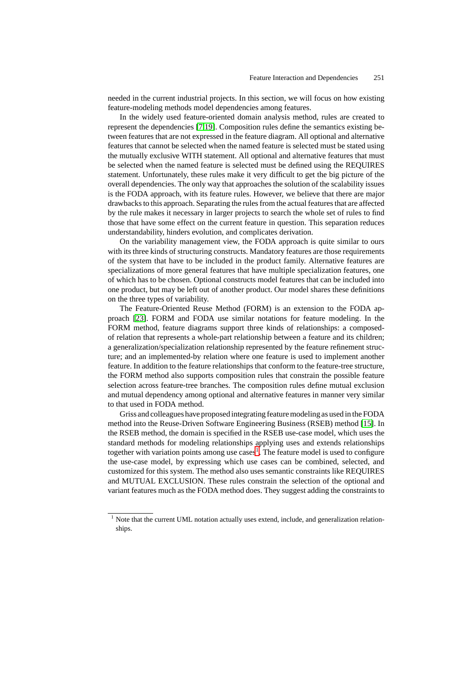needed in the current industrial projects. In this section, we will focus on how existing feature-modeling methods model dependencies among features.

In the widely used feature-oriented domain analysis method, rules are created to represent the dependencies [\[7,](#page-19-0)[19\]](#page-20-0). Composition rules define the semantics existing between features that are not expressed in the feature diagram. All optional and alternative features that cannot be selected when the named feature is selected must be stated using the mutually exclusive WITH statement. All optional and alternative features that must be selected when the named feature is selected must be defined using the REQUIRES statement. Unfortunately, these rules make it very difficult to get the big picture of the overall dependencies. The only way that approaches the solution of the scalability issues is the FODA approach, with its feature rules. However, we believe that there are major drawbacks to this approach. Separating the rules from the actual features that are affected by the rule makes it necessary in larger projects to search the whole set of rules to find those that have some effect on the current feature in question. This separation reduces understandability, hinders evolution, and complicates derivation.

On the variability management view, the FODA approach is quite similar to ours with its three kinds of structuring constructs. Mandatory features are those requirements of the system that have to be included in the product family. Alternative features are specializations of more general features that have multiple specialization features, one of which has to be chosen. Optional constructs model features that can be included into one product, but may be left out of another product. Our model shares these definitions on the three types of variability.

The Feature-Oriented Reuse Method (FORM) is an extension to the FODA approach [\[23\]](#page-20-0). FORM and FODA use similar notations for feature modeling. In the FORM method, feature diagrams support three kinds of relationships: a composedof relation that represents a whole-part relationship between a feature and its children; a generalization/specialization relationship represented by the feature refinement structure; and an implemented-by relation where one feature is used to implement another feature. In addition to the feature relationships that conform to the feature-tree structure, the FORM method also supports composition rules that constrain the possible feature selection across feature-tree branches. The composition rules define mutual exclusion and mutual dependency among optional and alternative features in manner very similar to that used in FODA method.

Griss and colleagues have proposed integrating feature modeling as used in the FODA method into the Reuse-Driven Software Engineering Business (RSEB) method [\[15\]](#page-19-0). In the RSEB method, the domain is specified in the RSEB use-case model, which uses the standard methods for modeling relationships applying uses and extends relationships together with variation points among use  $cases<sup>1</sup>$ . The feature model is used to configure the use-case model, by expressing which use cases can be combined, selected, and customized for this system. The method also uses semantic constraints like REQUIRES and MUTUAL EXCLUSION. These rules constrain the selection of the optional and variant features much as the FODA method does. They suggest adding the constraints to

<sup>&</sup>lt;sup>1</sup> Note that the current UML notation actually uses extend, include, and generalization relationships.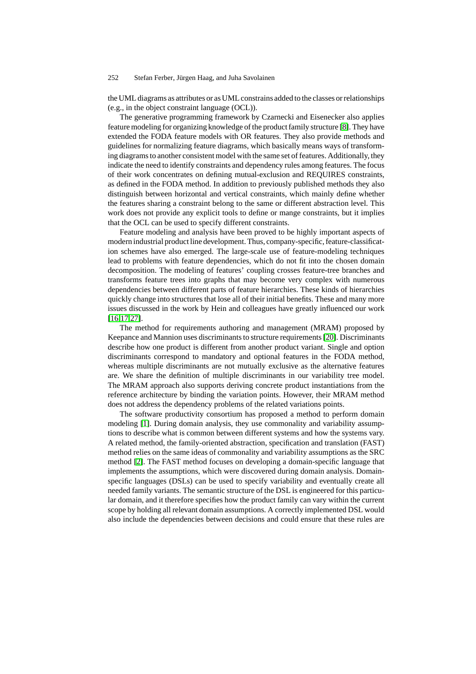the UML diagrams as attributes or as UML constrains added to the classes or relationships (e.g., in the object constraint language (OCL)).

The generative programming framework by Czarnecki and Eisenecker also applies feature modeling for organizing knowledge of the product family structure [\[8\]](#page-19-0). They have extended the FODA feature models with OR features. They also provide methods and guidelines for normalizing feature diagrams, which basically means ways of transforming diagrams to another consistent model with the same set of features. Additionally, they indicate the need to identify constraints and dependency rules among features. The focus of their work concentrates on defining mutual-exclusion and REQUIRES constraints, as defined in the FODA method. In addition to previously published methods they also distinguish between horizontal and vertical constraints, which mainly define whether the features sharing a constraint belong to the same or different abstraction level. This work does not provide any explicit tools to define or mange constraints, but it implies that the OCL can be used to specify different constraints.

Feature modeling and analysis have been proved to be highly important aspects of modern industrial product line development. Thus, company-specific, feature-classification schemes have also emerged. The large-scale use of feature-modeling techniques lead to problems with feature dependencies, which do not fit into the chosen domain decomposition. The modeling of features' coupling crosses feature-tree branches and transforms feature trees into graphs that may become very complex with numerous dependencies between different parts of feature hierarchies. These kinds of hierarchies quickly change into structures that lose all of their initial benefits. These and many more issues discussed in the work by Hein and colleagues have greatly influenced our work [\[16,17,27\]](#page-20-0).

The method for requirements authoring and management (MRAM) proposed by Keepance and Mannion uses discriminants to structure requirements [\[20\]](#page-20-0). Discriminants describe how one product is different from another product variant. Single and option discriminants correspond to mandatory and optional features in the FODA method, whereas multiple discriminants are not mutually exclusive as the alternative features are. We share the definition of multiple discriminants in our variability tree model. The MRAM approach also supports deriving concrete product instantiations from the reference architecture by binding the variation points. However, their MRAM method does not address the dependency problems of the related variations points.

The software productivity consortium has proposed a method to perform domain modeling [\[1\]](#page-19-0). During domain analysis, they use commonality and variability assumptions to describe what is common between different systems and how the systems vary. A related method, the family-oriented abstraction, specification and translation (FAST) method relies on the same ideas of commonality and variability assumptions as the SRC method [\[2\]](#page-19-0). The FAST method focuses on developing a domain-specific language that implements the assumptions, which were discovered during domain analysis. Domainspecific languages (DSLs) can be used to specify variability and eventually create all needed family variants. The semantic structure of the DSL is engineered for this particular domain, and it therefore specifies how the product family can vary within the current scope by holding all relevant domain assumptions. A correctly implemented DSL would also include the dependencies between decisions and could ensure that these rules are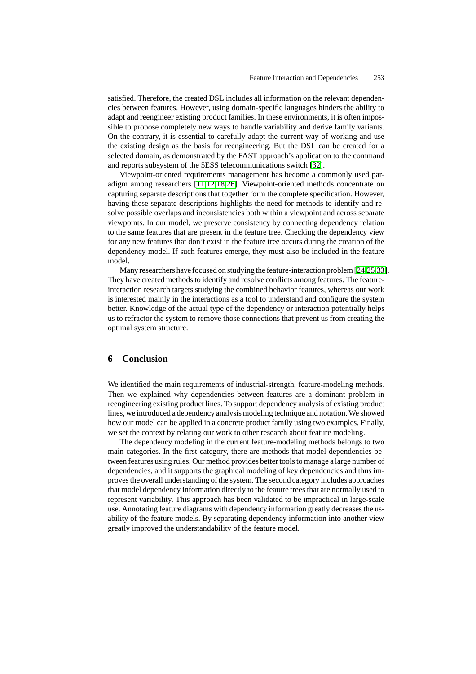<span id="page-18-0"></span>satisfied. Therefore, the created DSL includes all information on the relevant dependencies between features. However, using domain-specific languages hinders the ability to adapt and reengineer existing product families. In these environments, it is often impossible to propose completely new ways to handle variability and derive family variants. On the contrary, it is essential to carefully adapt the current way of working and use the existing design as the basis for reengineering. But the DSL can be created for a selected domain, as demonstrated by the FAST approach's application to the command and reports subsystem of the 5ESS telecommunications switch [\[32\]](#page-21-0).

Viewpoint-oriented requirements management has become a commonly used paradigm among researchers [\[11,12](#page-19-0)[,18,26\]](#page-20-0). Viewpoint-oriented methods concentrate on capturing separate descriptions that together form the complete specification. However, having these separate descriptions highlights the need for methods to identify and resolve possible overlaps and inconsistencies both within a viewpoint and across separate viewpoints. In our model, we preserve consistency by connecting dependency relation to the same features that are present in the feature tree. Checking the dependency view for any new features that don't exist in the feature tree occurs during the creation of the dependency model. If such features emerge, they must also be included in the feature model.

Many researchers have focused on studying the feature-interaction problem [\[24,25](#page-20-0)[,33\]](#page-21-0). They have created methods to identify and resolve conflicts among features. The featureinteraction research targets studying the combined behavior features, whereas our work is interested mainly in the interactions as a tool to understand and configure the system better. Knowledge of the actual type of the dependency or interaction potentially helps us to refractor the system to remove those connections that prevent us from creating the optimal system structure.

### **6 Conclusion**

We identified the main requirements of industrial-strength, feature-modeling methods. Then we explained why dependencies between features are a dominant problem in reengineering existing product lines. To support dependency analysis of existing product lines, we introduced a dependency analysis modeling technique and notation.We showed how our model can be applied in a concrete product family using two examples. Finally, we set the context by relating our work to other research about feature modeling.

The dependency modeling in the current feature-modeling methods belongs to two main categories. In the first category, there are methods that model dependencies between features using rules. Our method provides better tools to manage a large number of dependencies, and it supports the graphical modeling of key dependencies and thus improves the overall understanding of the system. The second category includes approaches that model dependency information directly to the feature trees that are normally used to represent variability. This approach has been validated to be impractical in large-scale use. Annotating feature diagrams with dependency information greatly decreases the usability of the feature models. By separating dependency information into another view greatly improved the understandability of the feature model.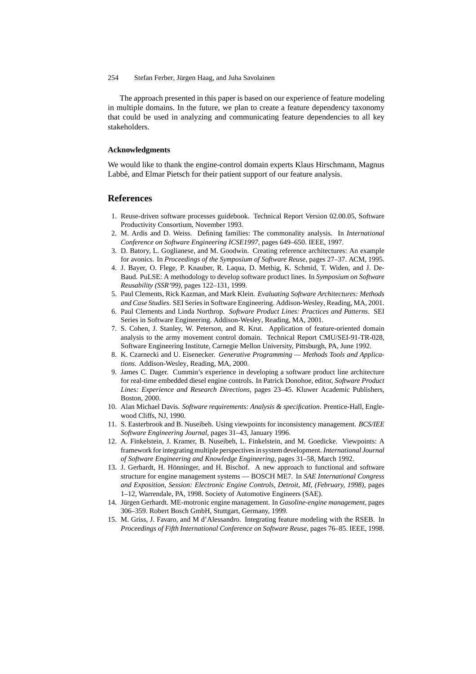<span id="page-19-0"></span>The approach presented in this paper is based on our experience of feature modeling in multiple domains. In the future, we plan to create a feature dependency taxonomy that could be used in analyzing and communicating feature dependencies to all key stakeholders.

### **Acknowledgments**

We would like to thank the engine-control domain experts Klaus Hirschmann, Magnus Labbé, and Elmar Pietsch for their patient support of our feature analysis.

# **References**

- 1. Reuse-driven software processes guidebook. Technical Report Version 02.00.05, Software Productivity Consortium, November 1993.
- 2. M. Ardis and D. Weiss. Defining families: The commonality analysis. In *International Conference on Software Engineering ICSE1997*, pages 649–650. IEEE, 1997.
- 3. D. Batory, L. Goglianese, and M. Goodwin. Creating reference architectures: An example for avonics. In *Proceedings of the Symposium of Software Reuse*, pages 27–37. ACM, 1995.
- 4. J. Bayer, O. Flege, P. Knauber, R. Laqua, D. Methig, K. Schmid, T. Widen, and J. De-Baud. PuLSE: A methodology to develop software product lines. In *Symposium on Software Reusability (SSR'99)*, pages 122–131, 1999.
- 5. Paul Clements, Rick Kazman, and Mark Klein. *Evaluating Software Architectures: Methods and Case Studies*. SEI Series in Software Engineering. Addison-Wesley, Reading, MA, 2001.
- 6. Paul Clements and Linda Northrop. *Software Product Lines: Practices and Patterns*. SEI Series in Software Engineering. Addison-Wesley, Reading, MA, 2001.
- 7. S. Cohen, J. Stanley, W. Peterson, and R. Krut. Application of feature-oriented domain analysis to the army movement control domain. Technical Report CMU/SEI-91-TR-028, Software Engineering Institute, Carnegie Mellon University, Pittsburgh, PA, June 1992.
- 8. K. Czarnecki and U. Eisenecker. *Generative Programming Methods Tools and Applications*. Addison-Wesley, Reading, MA, 2000.
- 9. James C. Dager. Cummin's experience in developing a software product line architecture for real-time embedded diesel engine controls. In Patrick Donohoe, editor, *Software Product Lines: Experience and Research Directions*, pages 23–45. Kluwer Academic Publishers, Boston, 2000.
- 10. Alan Michael Davis. *Software requirements: Analysis & specification*. Prentice-Hall, Englewood Cliffs, NJ, 1990.
- 11. S. Easterbrook and B. Nuseibeh. Using viewpoints for inconsistency management. *BCS/IEE Software Engineering Journal*, pages 31–43, January 1996.
- 12. A. Finkelstein, J. Kramer, B. Nuseibeh, L. Finkelstein, and M. Goedicke. Viewpoints: A framework for integrating multiple perspectives in system development. *International Journal of Software Engineering and Knowledge Engineering*, pages 31–58, March 1992.
- 13. J. Gerhardt, H. Hönninger, and H. Bischof. A new approach to functional and software structure for engine management systems — BOSCH ME7. In *SAE International Congress and Exposition, Session: Electronic Engine Controls, Detroit, MI, (February, 1998)*, pages 1–12, Warrendale, PA, 1998. Society of Automotive Engineers (SAE).
- 14. Jürgen Gerhardt. ME-motronic engine management. In Gasoline-engine management, pages 306–359. Robert Bosch GmbH, Stuttgart, Germany, 1999.
- 15. M. Griss, J. Favaro, and M d'Alessandro. Integrating feature modeling with the RSEB. In *Proceedings of Fifth International Conference on Software Reuse*, pages 76–85. IEEE, 1998.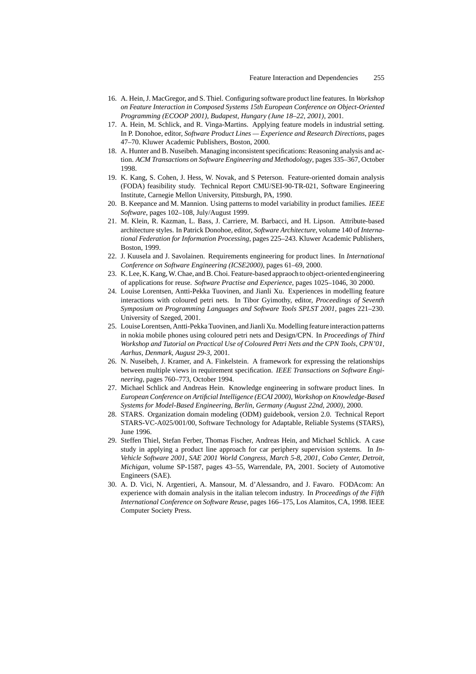- <span id="page-20-0"></span>16. A. Hein, J. MacGregor, and S. Thiel. Configuring software product line features. In *Workshop on Feature Interaction in Composed Systems 15th European Conference on Object-Oriented Programming (ECOOP 2001), Budapest, Hungary (June 18–22, 2001)*, 2001.
- 17. A. Hein, M. Schlick, and R. Vinga-Martins. Applying feature models in industrial setting. In P. Donohoe, editor, *Software Product Lines — Experience and Research Directions*, pages 47–70. Kluwer Academic Publishers, Boston, 2000.
- 18. A. Hunter and B. Nuseibeh. Managing inconsistent specifications: Reasoning analysis and action. *ACM Transactions on Software Engineering and Methodology*, pages 335–367, October 1998.
- 19. K. Kang, S. Cohen, J. Hess, W. Novak, and S Peterson. Feature-oriented domain analysis (FODA) feasibility study. Technical Report CMU/SEI-90-TR-021, Software Engineering Institute, Carnegie Mellon University, Pittsburgh, PA, 1990.
- 20. B. Keepance and M. Mannion. Using patterns to model variability in product families. *IEEE Software*, pages 102–108, July/August 1999.
- 21. M. Klein, R. Kazman, L. Bass, J. Carriere, M. Barbacci, and H. Lipson. Attribute-based architecture styles. In Patrick Donohoe, editor, *Software Architecture*, volume 140 of *International Federation for Information Processing*, pages 225–243. Kluwer Academic Publishers, Boston, 1999.
- 22. J. Kuusela and J. Savolainen. Requirements engineering for product lines. In *International Conference on Software Engineering (ICSE2000)*, pages 61–69, 2000.
- 23. K. Lee, K. Kang,W. Chae, and B. Choi. Feature-based appraoch to object-oriented engineering of applications for reuse. *Software Practise and Experience*, pages 1025–1046, 30 2000.
- 24. Louise Lorentsen, Antti-Pekka Tuovinen, and Jianli Xu. Experiences in modelling feature interactions with coloured petri nets. In Tibor Gyimothy, editor, *Proceedings of Seventh Symposium on Programming Languages and Software Tools SPLST 2001*, pages 221–230. University of Szeged, 2001.
- 25. Louise Lorentsen, Antti-Pekka Tuovinen, and Jianli Xu. Modelling feature interaction patterns in nokia mobile phones using coloured petri nets and Design/CPN. In *Proceedings of Third Workshop and Tutorial on Practical Use of Coloured Petri Nets and the CPN Tools, CPN'01, Aarhus, Denmark, August 29-3*, 2001.
- 26. N. Nuseibeh, J. Kramer, and A. Finkelstein. A framework for expressing the relationships between multiple views in requirement specification. *IEEE Transactions on Software Engineering*, pages 760–773, October 1994.
- 27. Michael Schlick and Andreas Hein. Knowledge engineering in software product lines. In *European Conference on Artificial Intelligence (ECAI 2000), Workshop on Knowledge-Based Systems for Model-Based Engineering, Berlin, Germany (August 22nd, 2000)*, 2000.
- 28. STARS. Organization domain modeling (ODM) guidebook, version 2.0. Technical Report STARS-VC-A025/001/00, Software Technology for Adaptable, Reliable Systems (STARS), June 1996.
- 29. Steffen Thiel, Stefan Ferber, Thomas Fischer, Andreas Hein, and Michael Schlick. A case study in applying a product line approach for car periphery supervision systems. In *In-Vehicle Software 2001, SAE 2001 World Congress, March 5-8, 2001, Cobo Center, Detroit, Michigan*, volume SP-1587, pages 43–55, Warrendale, PA, 2001. Society of Automotive Engineers (SAE).
- 30. A. D. Vici, N. Argentieri, A. Mansour, M. d'Alessandro, and J. Favaro. FODAcom: An experience with domain analysis in the italian telecom industry. In *Proceedings of the Fifth International Conference on Software Reuse*, pages 166–175, Los Alamitos, CA, 1998. IEEE Computer Society Press.